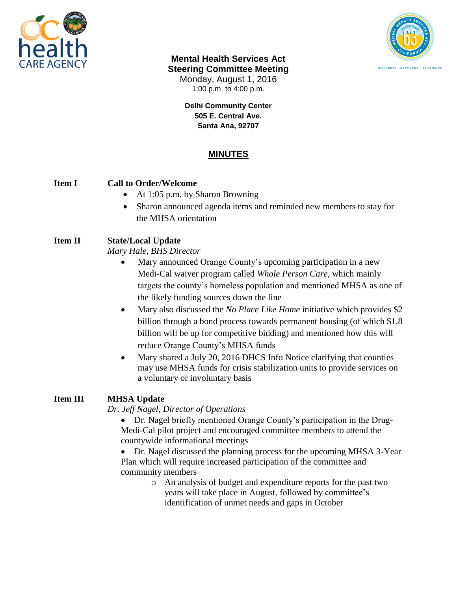



#### **Mental Health Services Act Steering Committee Meeting**

Monday, August 1, 2016 1:00 p.m. to 4:00 p.m.

**Delhi Community Center 505 E. Central Ave. Santa Ana, 92707**

# **MINUTES**

### **Item I Call to Order/Welcome**

- At 1:05 p.m. by Sharon Browning
- Sharon announced agenda items and reminded new members to stay for the MHSA orientation

### **Item II State/Local Update**

*Mary Hale, BHS Director*

- Mary announced Orange County's upcoming participation in a new Medi-Cal waiver program called *Whole Person Care*, which mainly targets the county's homeless population and mentioned MHSA as one of the likely funding sources down the line
- Mary also discussed the *No Place Like Home* initiative which provides \$2 billion through a bond process towards permanent housing (of which \$1.8 billion will be up for competitive bidding) and mentioned how this will reduce Orange County's MHSA funds
- Mary shared a July 20, 2016 DHCS Info Notice clarifying that counties may use MHSA funds for crisis stabilization units to provide services on a voluntary or involuntary basis

# **Item III MHSA Update**

*Dr. Jeff Nagel, Director of Operations*

 Dr. Nagel briefly mentioned Orange County's participation in the Drug-Medi-Cal pilot project and encouraged committee members to attend the countywide informational meetings

 Dr. Nagel discussed the planning process for the upcoming MHSA 3-Year Plan which will require increased participation of the committee and community members

o An analysis of budget and expenditure reports for the past two years will take place in August, followed by committee's identification of unmet needs and gaps in October